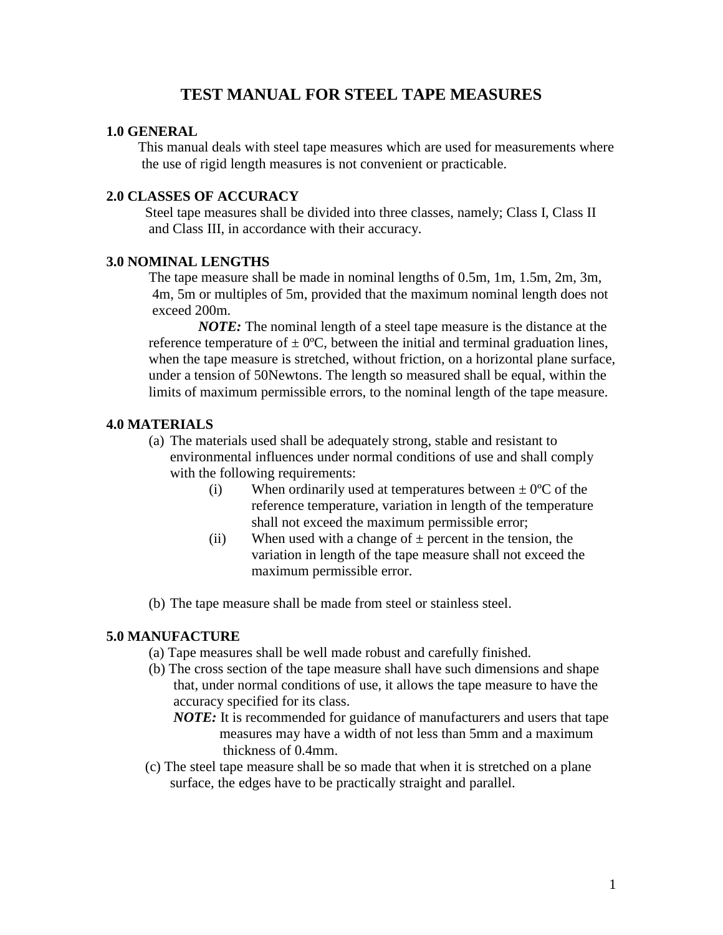## **TEST MANUAL FOR STEEL TAPE MEASURES**

#### **1.0 GENERAL**

 This manual deals with steel tape measures which are used for measurements where the use of rigid length measures is not convenient or practicable.

### **2.0 CLASSES OF ACCURACY**

 Steel tape measures shall be divided into three classes, namely; Class I, Class II and Class III, in accordance with their accuracy.

### **3.0 NOMINAL LENGTHS**

 The tape measure shall be made in nominal lengths of 0.5m, 1m, 1.5m, 2m, 3m, 4m, 5m or multiples of 5m, provided that the maximum nominal length does not exceed 200m.

 *NOTE:* The nominal length of a steel tape measure is the distance at the reference temperature of  $\pm$  0°C, between the initial and terminal graduation lines, when the tape measure is stretched, without friction, on a horizontal plane surface, under a tension of 50Newtons. The length so measured shall be equal, within the limits of maximum permissible errors, to the nominal length of the tape measure.

#### **4.0 MATERIALS**

- (a) The materials used shall be adequately strong, stable and resistant to environmental influences under normal conditions of use and shall comply with the following requirements:
	- (i) When ordinarily used at temperatures between  $\pm 0^{\circ}$ C of the reference temperature, variation in length of the temperature shall not exceed the maximum permissible error;
	- (ii) When used with a change of  $\pm$  percent in the tension, the variation in length of the tape measure shall not exceed the maximum permissible error.
- (b) The tape measure shall be made from steel or stainless steel.

### **5.0 MANUFACTURE**

- (a) Tape measures shall be well made robust and carefully finished.
- (b) The cross section of the tape measure shall have such dimensions and shape that, under normal conditions of use, it allows the tape measure to have the accuracy specified for its class.
	- *NOTE:* It is recommended for guidance of manufacturers and users that tape measures may have a width of not less than 5mm and a maximum thickness of 0.4mm.
- (c) The steel tape measure shall be so made that when it is stretched on a plane surface, the edges have to be practically straight and parallel.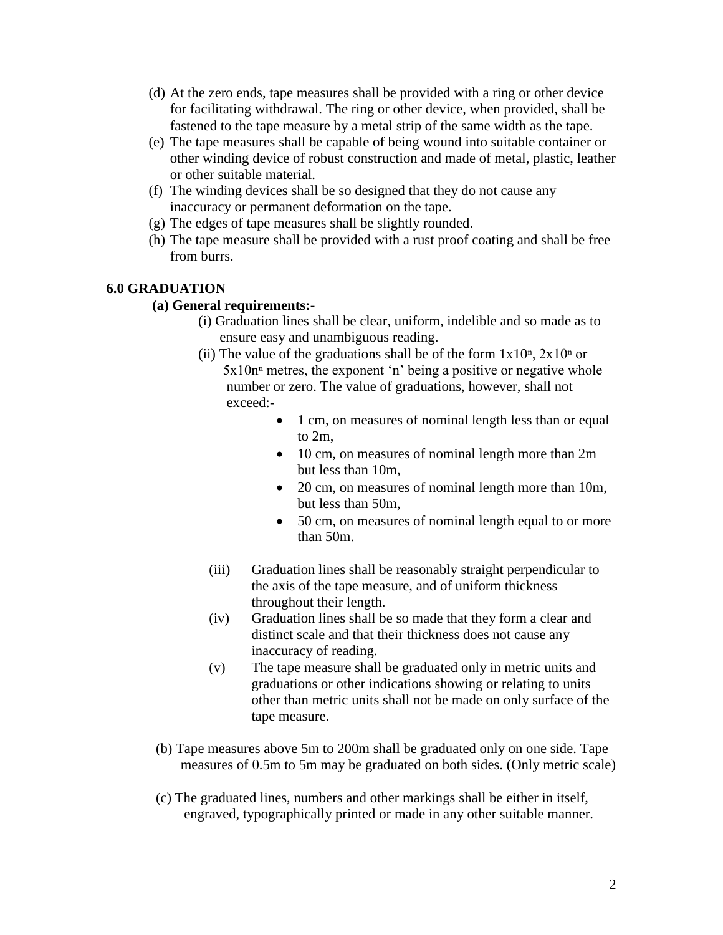- (d) At the zero ends, tape measures shall be provided with a ring or other device for facilitating withdrawal. The ring or other device, when provided, shall be fastened to the tape measure by a metal strip of the same width as the tape.
- (e) The tape measures shall be capable of being wound into suitable container or other winding device of robust construction and made of metal, plastic, leather or other suitable material.
- (f) The winding devices shall be so designed that they do not cause any inaccuracy or permanent deformation on the tape.
- (g) The edges of tape measures shall be slightly rounded.
- (h) The tape measure shall be provided with a rust proof coating and shall be free from burrs.

## **6.0 GRADUATION**

## **(a) General requirements:-**

- (i) Graduation lines shall be clear, uniform, indelible and so made as to ensure easy and unambiguous reading.
- (ii) The value of the graduations shall be of the form  $1x10<sup>n</sup>$ ,  $2x10<sup>n</sup>$  or  $5x10n^n$  metres, the exponent 'n' being a positive or negative whole number or zero. The value of graduations, however, shall not exceed:-
	- 1 cm, on measures of nominal length less than or equal to 2m,
	- 10 cm, on measures of nominal length more than 2m but less than 10m,
	- 20 cm, on measures of nominal length more than 10m, but less than 50m,
	- 50 cm, on measures of nominal length equal to or more than 50m.
	- (iii) Graduation lines shall be reasonably straight perpendicular to the axis of the tape measure, and of uniform thickness throughout their length.
	- (iv) Graduation lines shall be so made that they form a clear and distinct scale and that their thickness does not cause any inaccuracy of reading.
	- (v) The tape measure shall be graduated only in metric units and graduations or other indications showing or relating to units other than metric units shall not be made on only surface of the tape measure.
- (b) Tape measures above 5m to 200m shall be graduated only on one side. Tape measures of 0.5m to 5m may be graduated on both sides. (Only metric scale)
- (c) The graduated lines, numbers and other markings shall be either in itself, engraved, typographically printed or made in any other suitable manner.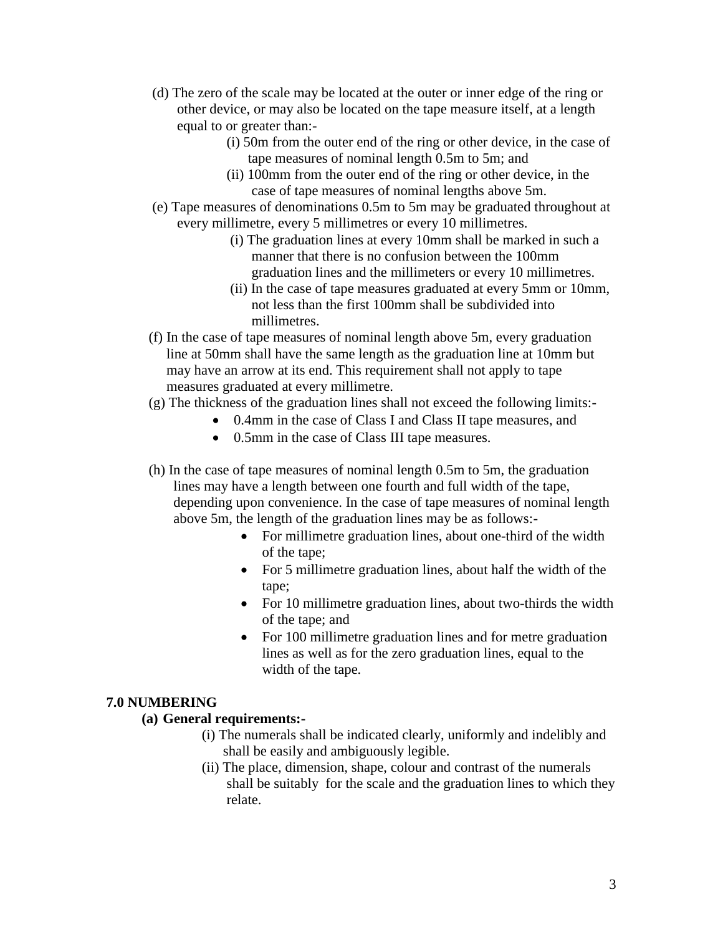- (d) The zero of the scale may be located at the outer or inner edge of the ring or other device, or may also be located on the tape measure itself, at a length equal to or greater than:-
	- (i) 50m from the outer end of the ring or other device, in the case of tape measures of nominal length 0.5m to 5m; and
	- (ii) 100mm from the outer end of the ring or other device, in the case of tape measures of nominal lengths above 5m.
- (e) Tape measures of denominations 0.5m to 5m may be graduated throughout at every millimetre, every 5 millimetres or every 10 millimetres.
	- (i) The graduation lines at every 10mm shall be marked in such a manner that there is no confusion between the 100mm graduation lines and the millimeters or every 10 millimetres.
	- (ii) In the case of tape measures graduated at every 5mm or 10mm, not less than the first 100mm shall be subdivided into millimetres.
- (f) In the case of tape measures of nominal length above 5m, every graduation line at 50mm shall have the same length as the graduation line at 10mm but may have an arrow at its end. This requirement shall not apply to tape measures graduated at every millimetre.
- (g) The thickness of the graduation lines shall not exceed the following limits:-
	- 0.4mm in the case of Class I and Class II tape measures, and
	- 0.5mm in the case of Class III tape measures.
- (h) In the case of tape measures of nominal length 0.5m to 5m, the graduation lines may have a length between one fourth and full width of the tape, depending upon convenience. In the case of tape measures of nominal length above 5m, the length of the graduation lines may be as follows:-
	- For millimetre graduation lines, about one-third of the width of the tape;
	- For 5 millimetre graduation lines, about half the width of the tape;
	- For 10 millimetre graduation lines, about two-thirds the width of the tape; and
	- For 100 millimetre graduation lines and for metre graduation lines as well as for the zero graduation lines, equal to the width of the tape.

# **7.0 NUMBERING**

# **(a) General requirements:-**

- (i) The numerals shall be indicated clearly, uniformly and indelibly and shall be easily and ambiguously legible.
- (ii) The place, dimension, shape, colour and contrast of the numerals shall be suitably for the scale and the graduation lines to which they relate.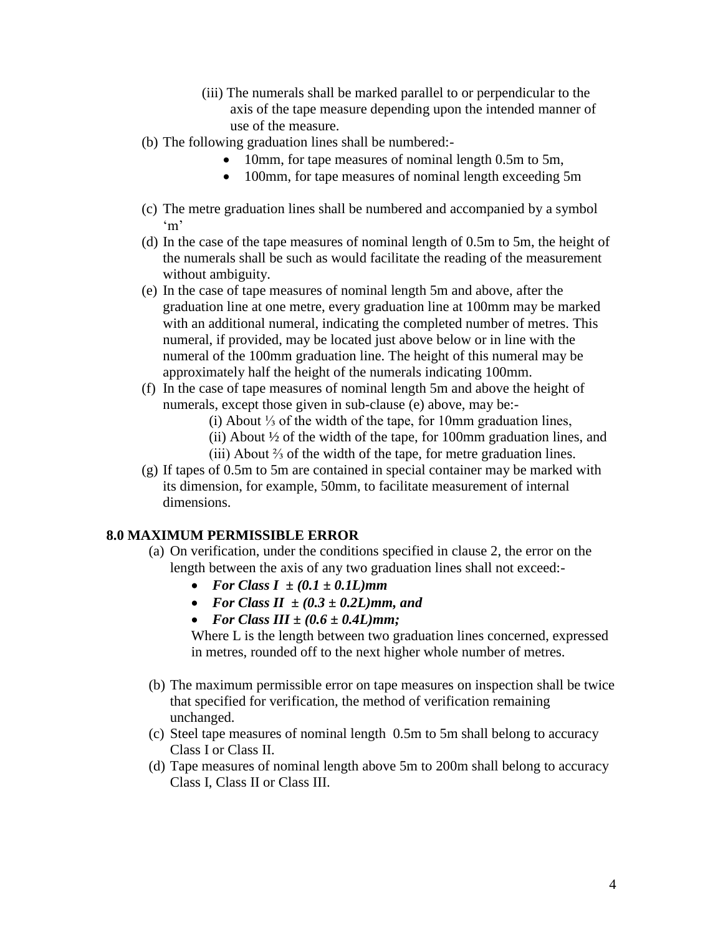- (iii) The numerals shall be marked parallel to or perpendicular to the axis of the tape measure depending upon the intended manner of use of the measure.
- (b) The following graduation lines shall be numbered:-
	- 10mm, for tape measures of nominal length 0.5m to 5m,
	- 100mm, for tape measures of nominal length exceeding 5m
- (c) The metre graduation lines shall be numbered and accompanied by a symbol 'm'
- (d) In the case of the tape measures of nominal length of 0.5m to 5m, the height of the numerals shall be such as would facilitate the reading of the measurement without ambiguity.
- (e) In the case of tape measures of nominal length 5m and above, after the graduation line at one metre, every graduation line at 100mm may be marked with an additional numeral, indicating the completed number of metres. This numeral, if provided, may be located just above below or in line with the numeral of the 100mm graduation line. The height of this numeral may be approximately half the height of the numerals indicating 100mm.
- (f) In the case of tape measures of nominal length 5m and above the height of numerals, except those given in sub-clause (e) above, may be:-
	- (i) About ⅓ of the width of the tape, for 10mm graduation lines,
		- (ii) About ½ of the width of the tape, for 100mm graduation lines, and
		- (iii) About ⅔ of the width of the tape, for metre graduation lines.
- (g) If tapes of 0.5m to 5m are contained in special container may be marked with its dimension, for example, 50mm, to facilitate measurement of internal dimensions.

### **8.0 MAXIMUM PERMISSIBLE ERROR**

- (a) On verification, under the conditions specified in clause 2, the error on the length between the axis of any two graduation lines shall not exceed:-
	- For Class  $I \pm (0.1 \pm 0.1L)$ mm
	- For Class  $II \pm (0.3 \pm 0.2L)$  mm, and
	- For Class III  $\pm (0.6 \pm 0.4L)$ mm;

Where L is the length between two graduation lines concerned, expressed in metres, rounded off to the next higher whole number of metres.

- (b) The maximum permissible error on tape measures on inspection shall be twice that specified for verification, the method of verification remaining unchanged.
- (c) Steel tape measures of nominal length 0.5m to 5m shall belong to accuracy Class I or Class II.
- (d) Tape measures of nominal length above 5m to 200m shall belong to accuracy Class I, Class II or Class III.